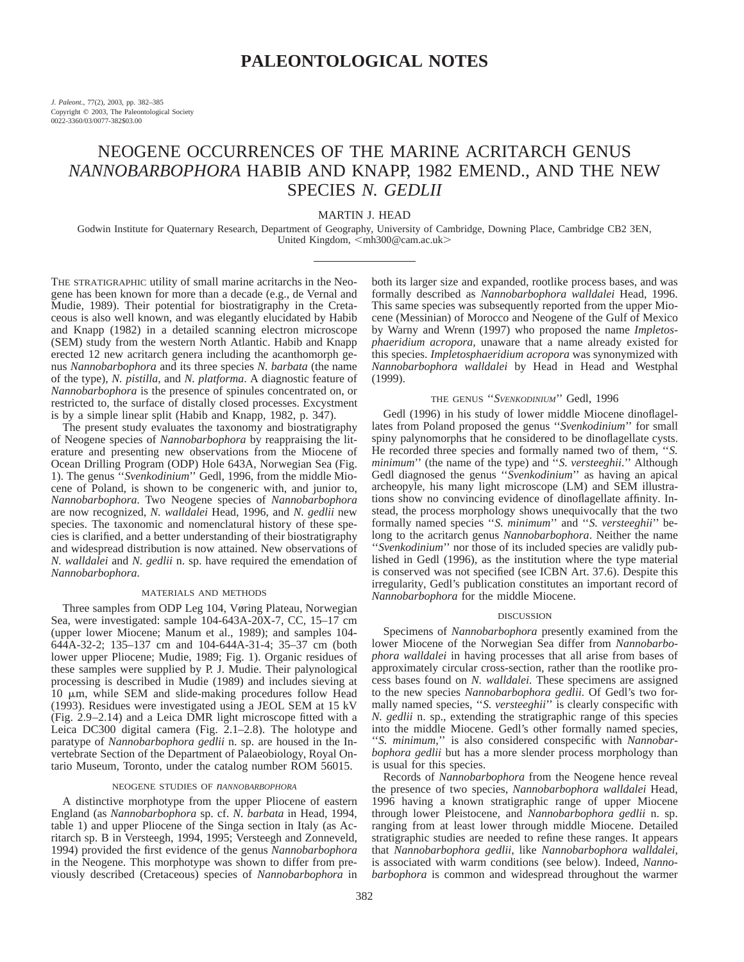# **PALEONTOLOGICAL NOTES**

*J. Paleont.,* 77(2), 2003, pp. 382–385 Copyright  $©$  2003, The Paleontological Society 0022-3360/03/0077-382\$03.00

# NEOGENE OCCURRENCES OF THE MARINE ACRITARCH GENUS *NANNOBARBOPHORA* HABIB AND KNAPP, 1982 EMEND., AND THE NEW SPECIES *N. GEDLII*

MARTIN J. HEAD

Godwin Institute for Quaternary Research, Department of Geography, University of Cambridge, Downing Place, Cambridge CB2 3EN, United Kingdom, <mh300@cam.ac.uk>

THE STRATIGRAPHIC utility of small marine acritarchs in the Neogene has been known for more than a decade (e.g., de Vernal and Mudie, 1989). Their potential for biostratigraphy in the Cretaceous is also well known, and was elegantly elucidated by Habib and Knapp (1982) in a detailed scanning electron microscope (SEM) study from the western North Atlantic. Habib and Knapp erected 12 new acritarch genera including the acanthomorph genus *Nannobarbophora* and its three species *N. barbata* (the name of the type), *N. pistilla*, and *N. platforma*. A diagnostic feature of *Nannobarbophora* is the presence of spinules concentrated on, or restricted to, the surface of distally closed processes. Excystment is by a simple linear split (Habib and Knapp, 1982, p. 347).

The present study evaluates the taxonomy and biostratigraphy of Neogene species of *Nannobarbophora* by reappraising the literature and presenting new observations from the Miocene of Ocean Drilling Program (ODP) Hole 643A, Norwegian Sea (Fig. 1). The genus ''*Svenkodinium*'' Gedl, 1996, from the middle Miocene of Poland, is shown to be congeneric with, and junior to, *Nannobarbophora*. Two Neogene species of *Nannobarbophora* are now recognized, *N. walldalei* Head, 1996, and *N. gedlii* new species. The taxonomic and nomenclatural history of these species is clarified, and a better understanding of their biostratigraphy and widespread distribution is now attained. New observations of *N. walldalei* and *N. gedlii* n. sp. have required the emendation of *Nannobarbophora*.

## MATERIALS AND METHODS

Three samples from ODP Leg 104, Vøring Plateau, Norwegian Sea, were investigated: sample 104-643A-20X-7, CC, 15–17 cm (upper lower Miocene; Manum et al., 1989); and samples 104- 644A-32-2; 135–137 cm and 104-644A-31-4; 35–37 cm (both lower upper Pliocene; Mudie, 1989; Fig. 1). Organic residues of these samples were supplied by P. J. Mudie. Their palynological processing is described in Mudie (1989) and includes sieving at 10  $\mu$ m, while SEM and slide-making procedures follow Head (1993). Residues were investigated using a JEOL SEM at 15 kV (Fig. 2.9–2.14) and a Leica DMR light microscope fitted with a Leica DC300 digital camera (Fig.  $2.1-2.8$ ). The holotype and paratype of *Nannobarbophora gedlii* n. sp. are housed in the Invertebrate Section of the Department of Palaeobiology, Royal Ontario Museum, Toronto, under the catalog number ROM 56015.

## NEOGENE STUDIES OF *nANNOBARBOPHORA*

A distinctive morphotype from the upper Pliocene of eastern England (as *Nannobarbophora* sp. cf. *N. barbata* in Head, 1994, table 1) and upper Pliocene of the Singa section in Italy (as Acritarch sp. B in Versteegh, 1994, 1995; Versteegh and Zonneveld, 1994) provided the first evidence of the genus *Nannobarbophora* in the Neogene. This morphotype was shown to differ from previously described (Cretaceous) species of *Nannobarbophora* in

both its larger size and expanded, rootlike process bases, and was formally described as *Nannobarbophora walldalei* Head, 1996. This same species was subsequently reported from the upper Miocene (Messinian) of Morocco and Neogene of the Gulf of Mexico by Warny and Wrenn (1997) who proposed the name *Impletosphaeridium acropora*, unaware that a name already existed for this species. *Impletosphaeridium acropora* was synonymized with *Nannobarbophora walldalei* by Head in Head and Westphal (1999).

## THE GENUS ''*SVENKODINIUM*'' Gedl, 1996

Gedl (1996) in his study of lower middle Miocene dinoflagellates from Poland proposed the genus ''*Svenkodinium*'' for small spiny palynomorphs that he considered to be dinoflagellate cysts. He recorded three species and formally named two of them, ''*S. minimum*'' (the name of the type) and ''*S. versteeghii*.'' Although Gedl diagnosed the genus ''*Svenkodinium*'' as having an apical archeopyle, his many light microscope (LM) and SEM illustrations show no convincing evidence of dinoflagellate affinity. Instead, the process morphology shows unequivocally that the two formally named species ''*S. minimum*'' and ''*S. versteeghii*'' belong to the acritarch genus *Nannobarbophora*. Neither the name ''*Svenkodinium*'' nor those of its included species are validly published in Gedl (1996), as the institution where the type material is conserved was not specified (see ICBN Art. 37.6). Despite this irregularity, Gedl's publication constitutes an important record of *Nannobarbophora* for the middle Miocene.

#### DISCUSSION

Specimens of *Nannobarbophora* presently examined from the lower Miocene of the Norwegian Sea differ from *Nannobarbophora walldalei* in having processes that all arise from bases of approximately circular cross-section, rather than the rootlike process bases found on *N. walldalei*. These specimens are assigned to the new species *Nannobarbophora gedlii*. Of Gedl's two formally named species, ''*S. versteeghii*'' is clearly conspecific with *N. gedlii* n. sp., extending the stratigraphic range of this species into the middle Miocene. Gedl's other formally named species, ''*S. minimum*,'' is also considered conspecific with *Nannobarbophora gedlii* but has a more slender process morphology than is usual for this species.

Records of *Nannobarbophora* from the Neogene hence reveal the presence of two species, *Nannobarbophora walldalei* Head, 1996 having a known stratigraphic range of upper Miocene through lower Pleistocene, and *Nannobarbophora gedlii* n. sp. ranging from at least lower through middle Miocene. Detailed stratigraphic studies are needed to refine these ranges. It appears that *Nannobarbophora gedlii*, like *Nannobarbophora walldalei*, is associated with warm conditions (see below). Indeed, *Nannobarbophora* is common and widespread throughout the warmer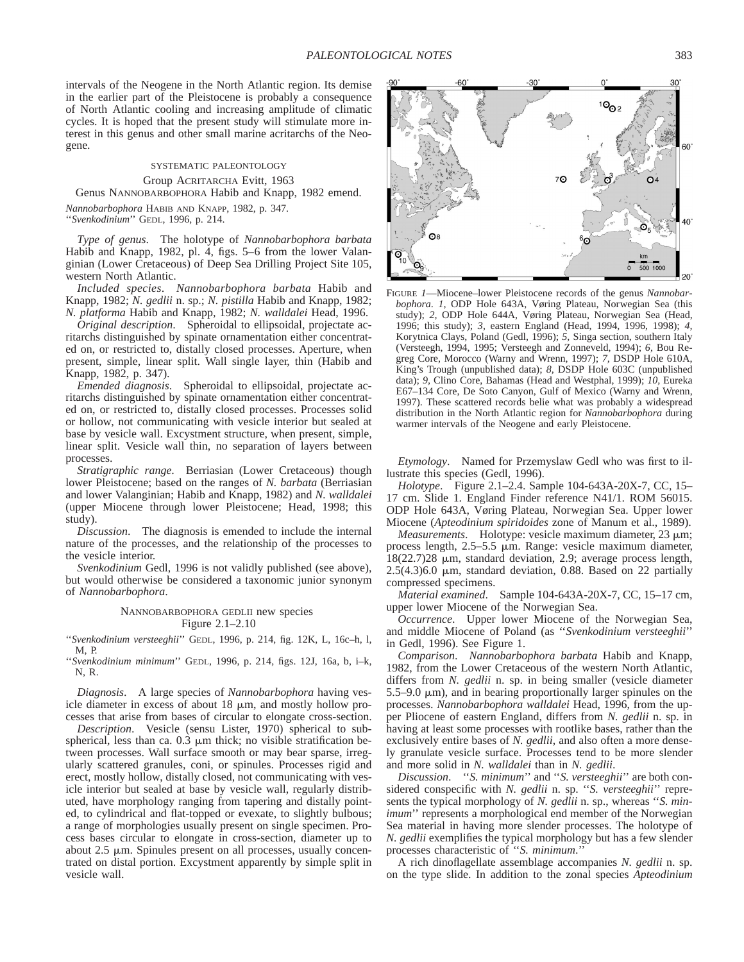intervals of the Neogene in the North Atlantic region. Its demise in the earlier part of the Pleistocene is probably a consequence of North Atlantic cooling and increasing amplitude of climatic cycles. It is hoped that the present study will stimulate more interest in this genus and other small marine acritarchs of the Neogene.

# SYSTEMATIC PALEONTOLOGY Group ACRITARCHA Evitt, 1963 Genus NANNOBARBOPHORA Habib and Knapp, 1982 emend.

*Nannobarbophora* HABIB AND KNAPP, 1982, p. 347. ''*Svenkodinium*'' GEDL, 1996, p. 214.

*Type of genus*.The holotype of *Nannobarbophora barbata* Habib and Knapp, 1982, pl. 4, figs. 5–6 from the lower Valanginian (Lower Cretaceous) of Deep Sea Drilling Project Site 105, western North Atlantic.

*Included species*.*Nannobarbophora barbata* Habib and Knapp, 1982; *N. gedlii* n. sp.; *N. pistilla* Habib and Knapp, 1982; *N. platforma* Habib and Knapp, 1982; *N. walldalei* Head, 1996.

*Original description*. Spheroidal to ellipsoidal, projectate acritarchs distinguished by spinate ornamentation either concentrated on, or restricted to, distally closed processes. Aperture, when present, simple, linear split. Wall single layer, thin (Habib and Knapp, 1982, p. 347).

*Emended diagnosis*.—Spheroidal to ellipsoidal, projectate acritarchs distinguished by spinate ornamentation either concentrated on, or restricted to, distally closed processes. Processes solid or hollow, not communicating with vesicle interior but sealed at base by vesicle wall. Excystment structure, when present, simple, linear split. Vesicle wall thin, no separation of layers between processes.

*Stratigraphic range*.—Berriasian (Lower Cretaceous) though lower Pleistocene; based on the ranges of *N. barbata* (Berriasian and lower Valanginian; Habib and Knapp, 1982) and *N. walldalei* (upper Miocene through lower Pleistocene; Head, 1998; this study).

*Discussion*.—The diagnosis is emended to include the internal nature of the processes, and the relationship of the processes to the vesicle interior.

*Svenkodinium* Gedl, 1996 is not validly published (see above), but would otherwise be considered a taxonomic junior synonym of *Nannobarbophora*.

## NANNOBARBOPHORA GEDLII new species Figure 2.1–2.10

''*Svenkodinium versteeghii*'' GEDL, 1996, p. 214, fig. 12K, L, 16c–h, l, M, P.

''*Svenkodinium minimum*'' GEDL, 1996, p. 214, figs. 12J, 16a, b, i–k, N, R.

*Diagnosis*.A large species of *Nannobarbophora* having vesicle diameter in excess of about  $18 \mu m$ , and mostly hollow processes that arise from bases of circular to elongate cross-section.

*Description*.--Vesicle (sensu Lister, 1970) spherical to subspherical, less than ca.  $0.3 \mu m$  thick; no visible stratification between processes. Wall surface smooth or may bear sparse, irregularly scattered granules, coni, or spinules. Processes rigid and erect, mostly hollow, distally closed, not communicating with vesicle interior but sealed at base by vesicle wall, regularly distributed, have morphology ranging from tapering and distally pointed, to cylindrical and flat-topped or evexate, to slightly bulbous; a range of morphologies usually present on single specimen. Process bases circular to elongate in cross-section, diameter up to about  $2.5 \mu m$ . Spinules present on all processes, usually concentrated on distal portion. Excystment apparently by simple split in vesicle wall.



FIGURE *1*—Miocene–lower Pleistocene records of the genus *Nannobarbophora*. *1,* ODP Hole 643A, Vøring Plateau, Norwegian Sea (this study); *2,* ODP Hole 644A, Vøring Plateau, Norwegian Sea (Head, 1996; this study); *3,* eastern England (Head, 1994, 1996, 1998); *4,* Korytnica Clays, Poland (Gedl, 1996); *5,* Singa section, southern Italy (Versteegh, 1994, 1995; Versteegh and Zonneveld, 1994); *6,* Bou Regreg Core, Morocco (Warny and Wrenn, 1997); *7,* DSDP Hole 610A, King's Trough (unpublished data); *8,* DSDP Hole 603C (unpublished data); *9,* Clino Core, Bahamas (Head and Westphal, 1999); *10,* Eureka E67–134 Core, De Soto Canyon, Gulf of Mexico (Warny and Wrenn, 1997). These scattered records belie what was probably a widespread distribution in the North Atlantic region for *Nannobarbophora* during warmer intervals of the Neogene and early Pleistocene.

*Etymology.*—Named for Przemyslaw Gedl who was first to illustrate this species (Gedl, 1996).

*Holotype*.—Figure 2.1–2.4. Sample 104-643A-20X-7, CC, 15– 17 cm. Slide 1. England Finder reference N41/1. ROM 56015. ODP Hole 643A, Vøring Plateau, Norwegian Sea. Upper lower Miocene (*Apteodinium spiridoides* zone of Manum et al., 1989).

*Measurements*.—Holotype: vesicle maximum diameter, 23  $\mu$ m; process length,  $2.5-5.5$   $\mu$ m. Range: vesicle maximum diameter,  $18(22.7)28$   $\mu$ m, standard deviation, 2.9; average process length,  $2.5(4.3)6.0$  µm, standard deviation, 0.88. Based on 22 partially compressed specimens.

*Material examined*. Sample 104-643A-20X-7, CC, 15-17 cm, upper lower Miocene of the Norwegian Sea.

*Occurrence*.Upper lower Miocene of the Norwegian Sea, and middle Miocene of Poland (as ''*Svenkodinium versteeghii*'' in Gedl, 1996). See Figure 1.

*Comparison*.*Nannobarbophora barbata* Habib and Knapp, 1982, from the Lower Cretaceous of the western North Atlantic, differs from *N. gedlii* n. sp. in being smaller (vesicle diameter  $5.5-9.0 \mu m$ , and in bearing proportionally larger spinules on the processes. *Nannobarbophora walldalei* Head, 1996, from the upper Pliocene of eastern England, differs from *N. gedlii* n. sp. in having at least some processes with rootlike bases, rather than the exclusively entire bases of *N. gedlii*, and also often a more densely granulate vesicle surface. Processes tend to be more slender and more solid in *N. walldalei* than in *N. gedlii*.

*Discussion*.—"*S. minimum*" and "*S. versteeghii*" are both considered conspecific with *N. gedlii* n. sp. ''*S. versteeghii*'' represents the typical morphology of *N. gedlii* n. sp., whereas ''*S. minimum*" represents a morphological end member of the Norwegian Sea material in having more slender processes. The holotype of *N. gedlii* exemplifies the typical morphology but has a few slender processes characteristic of ''*S. minimum*.''

A rich dinoflagellate assemblage accompanies *N. gedlii* n. sp. on the type slide. In addition to the zonal species *Apteodinium*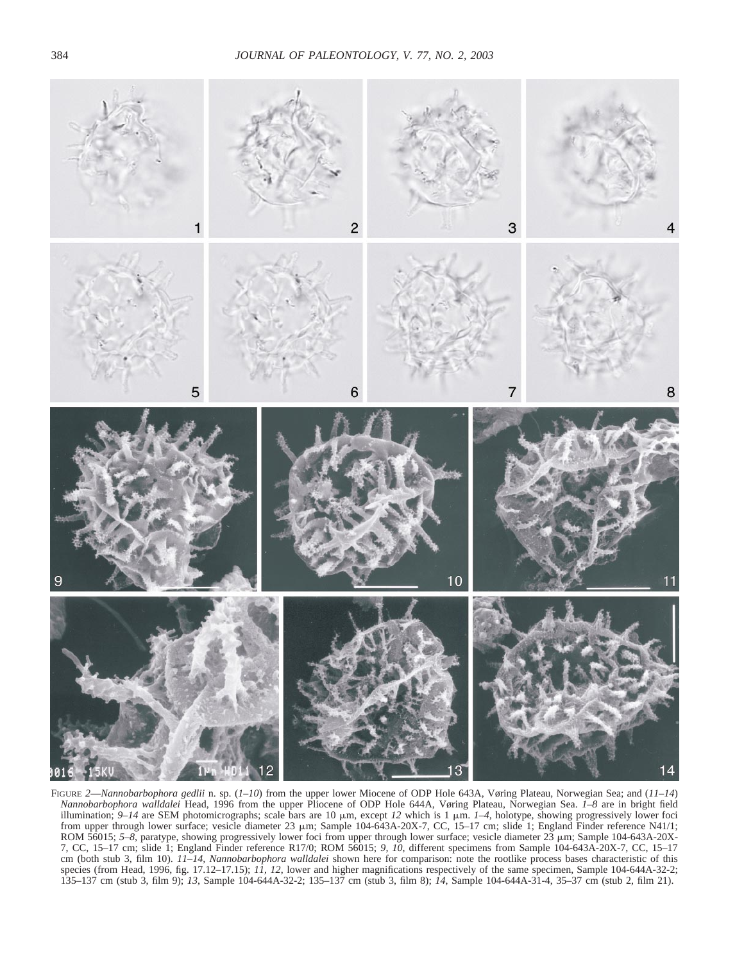

FIGURE *2*—*Nannobarbophora gedlii* n. sp. (*1–10*) from the upper lower Miocene of ODP Hole 643A, Vøring Plateau, Norwegian Sea; and (*11–14*) *Nannobarbophora walldalei* Head, 1996 from the upper Pliocene of ODP Hole 644A, Vøring Plateau, Norwegian Sea. *1–8* are in bright field illumination;  $9-14$  are SEM photomicrographs; scale bars are 10  $\mu$ m, except 12 which is 1  $\mu$ m.  $1-4$ , holotype, showing progressively lower foci from upper through lower surface; vesicle diameter 23  $\mu$ m; Sample 104-643A-20X-7, CC, 15–17 cm; slide 1; England Finder reference N41/1; ROM 56015; 5-8, paratype, showing progressively lower foci from upper through lower surface; vesicle diameter  $23 \mu m$ ; Sample 104-643A-20X-7, CC, 15–17 cm; slide 1; England Finder reference R17/0; ROM 56015; *9, 10*, different specimens from Sample 104-643A-20X-7, CC, 15–17 cm (both stub 3, film 10). *11–14, Nannobarbophora walldalei* shown here for comparison: note the rootlike process bases characteristic of this species (from Head, 1996, fig. 17.12–17.15); *11, 12*, lower and higher magnifications respectively of the same specimen, Sample 104-644A-32-2; 135–137 cm (stub 3, film 9); *13*, Sample 104-644A-32-2; 135–137 cm (stub 3, film 8); *14*, Sample 104-644A-31-4, 35–37 cm (stub 2, film 21).